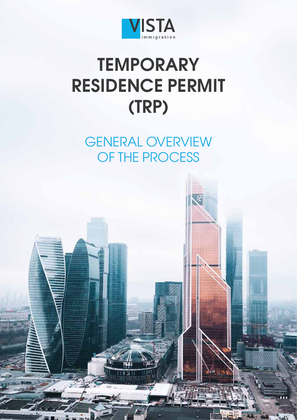

# **TEMPORARY RESIDENCE PERMIT (TRP)**

GENERAL OVERVIEW OF THE PROCESS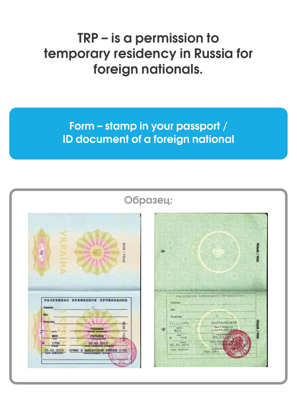#### **TRP – is a permission to temporary residency in Russia for foreign nationals.**

#### **Form – stamp in your passport / ID document of a foreign national**

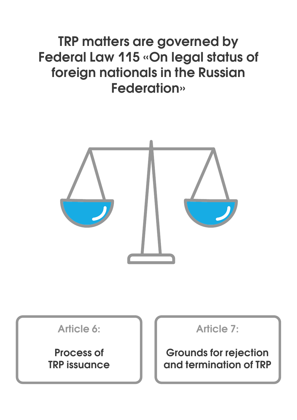#### **TRP matters are governed by Federal Law 115 «On legal status of foreign nationals in the Russian Federation»**



**Article 6:**

**Process of TRP issuance** **Article 7:**

**Grounds for rejection and termination of TRP**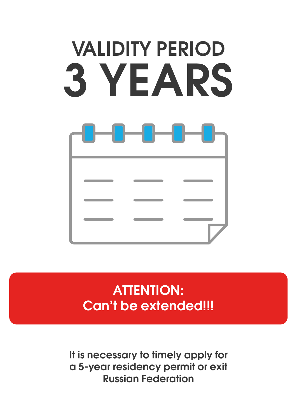# **VALIDITY PERIOD 3 YEARS**

#### **ATTENTION: Can't be extended!!!**

**It is necessary to timely apply for a 5-year residency permit or exit Russian Federation**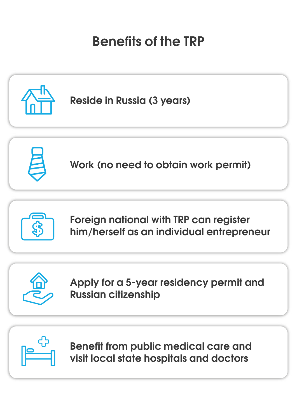## **Benefits of the TRP**





**Benefit from public medical care and visit local state hospitals and doctors**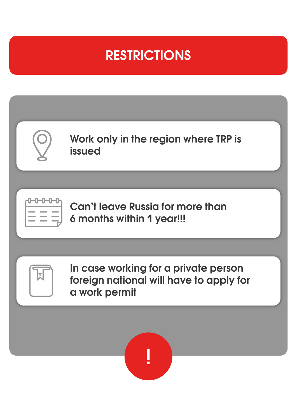## **RESTRICTIONS**

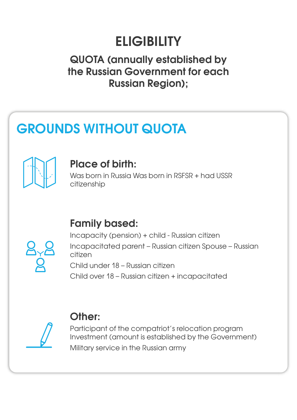# **ELIGIBILITY**

#### **QUOTA (annually established by the Russian Government for each Russian Region);**

# **GROUNDS WITHOUT QUOTA**



#### **Place of birth:**

Was born in Russia Was born in RSFSR + had USSR citizenship

#### **Family based:**



Incapacity (pension) + child - Russian citizen Incapacitated parent – Russian citizen Spouse – Russian citizen

Child under 18 – Russian citizen

Child over 18 – Russian citizen + incapacitated



#### **Other:**

Participant of the compatriot's relocation program Investment (amount is established by the Government) Military service in the Russian army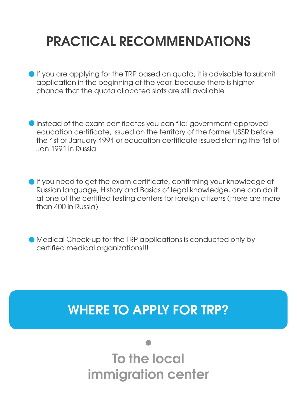# **PRACTICAL RECOMMENDATIONS**

- If you are applying for the TRP based on quota, it is advisable to submit application in the beginning of the year, because there is higher chance that the quota allocated slots are still available
- Instead of the exam certificates you can file: government-approved education certificate, issued on the territory of the former USSR before the 1st of January 1991 or education certificate issued starting the 1st of Jan 1991 in Russia
- If you need to get the exam certificate, confirming your knowledge of Russian language, History and Basics of legal knowledge, one can do it at one of the certified testing centers for foreign citizens (there are more than 400 in Russia)
- Medical Check-up for the TRP applications is conducted only by certified medical organizations!!!

#### **WHERE TO APPLY FOR TRP?**

**To the local immigration center**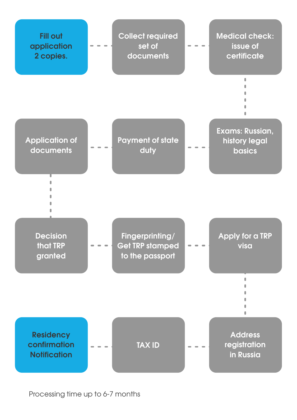

Processing time up to 6-7 months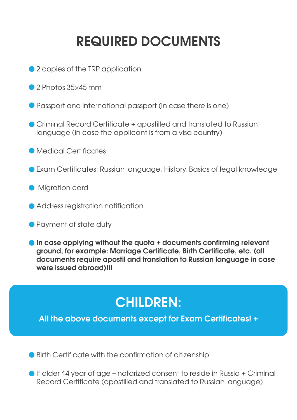# **REQUIRED DOCUMENTS**

- 2 copies of the TRP application
- 2 Photos 35×45 mm
- Passport and international passport (in case there is one)
- Criminal Record Certificate + apostilled and translated to Russian language (in case the applicant is from a visa country)
- **CALC** Medical Certificates
- Exam Certificates: Russian language, History, Basics of legal knowledge
- **Migration card**
- Address registration notification
- Payment of state duty
- **In case applying without the quota + documents confirming relevant ground, for example: Marriage Certificate, Birth Certificate, etc. (all documents require apostil and translation to Russian language in case were issued abroad)!!!**

## **CHILDREN:**

**All the above documents except for Exam Certificates! +**

● Birth Certificate with the confirmation of citizenship

If older 14 year of age – notarized consent to reside in Russia + Criminal Record Certificate (apostilled and translated to Russian language)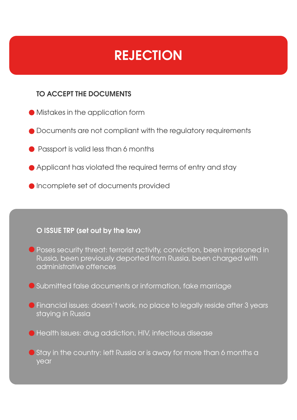## **REJECTION**

#### **TO ACCEPT THE DOCUMENTS**

- Mistakes in the application form
- $\bullet$  Documents are not compliant with the regulatory requirements
- **•** Passport is valid less than 6 months
- Applicant has violated the required terms of entry and stay
- Incomplete set of documents provided

#### **O ISSUE TRP (set out by the law)**

- Poses security threat: terrorist activity, conviction, been imprisoned in Russia, been previously deported from Russia, been charged with administrative offences
- Submitted false documents or information, fake marriage
- Financial issues: doesn't work, no place to legally reside after 3 years staying in Russia
- Health issues: drug addiction, HIV, infectious disease
- **Stay in the country: left Russia or is away for more than 6 months a** year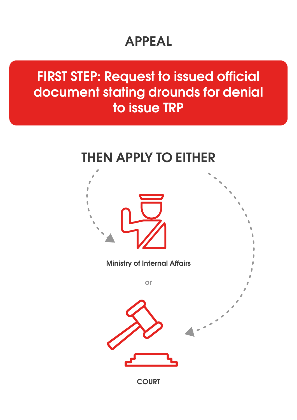## **APPEAL**

**FIRST STEP: Request to issued official document stating drounds for denial to issue TRP**

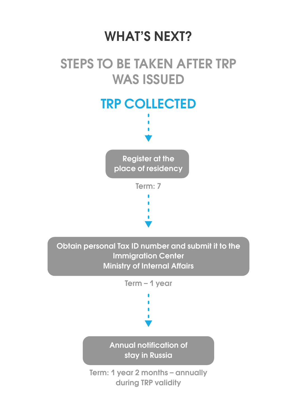#### **WHAT'S NEXT?**

#### **STEPS TO BE TAKEN AFTER TRP WAS ISSUED**



**Obtain personal Tax ID number and submit it to the Immigration Center Ministry of Internal Affairs**

**Term – 1 year**

**Annual notification of stay in Russia**

**Term: 1 year 2 months – annually during TRP validity**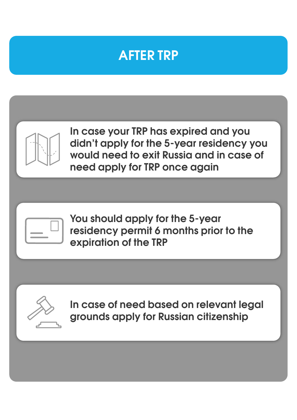#### **AFTER TRP**



**In case your TRP has expired and you didn't apply for the 5-year residency you would need to exit Russia and in case of need apply for TRP once again**



**You should apply for the 5-year residency permit 6 months prior to the expiration of the TRP**



**In case of need based on relevant legal grounds apply for Russian citizenship**